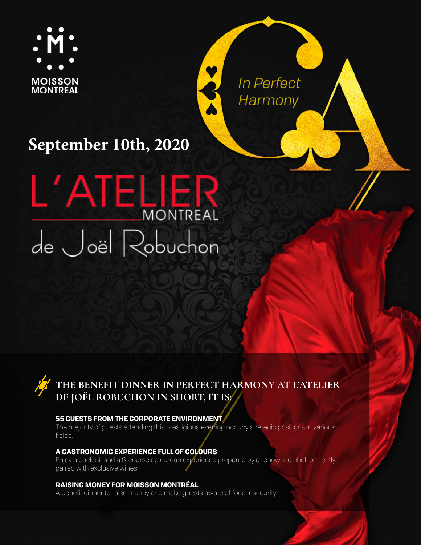

In Perfect Harmony

 $\frac{1}{2}$ 

# **September 10th, 2020**



### **THE BENEFIT DINNER IN PERFECT HARMONY AT L'ATELIER DE JOËL ROBUCHON IN SHORT, IT IS:**

#### **55 GUESTS FROM THE CORPORATE ENVIRONMENT**

The majority of guests attending this prestigious evening occupy strategic positions in various fields.

#### **A GASTRONOMIC EXPERIENCE FULL OF COLOURS**

Enjoy a cocktail and a 6-course epicurean experience prepared by a renowned chef, perfectly paired with exclusive wines.

#### **RAISING MONEY FOR MOISSON MONTRÉAL**

A benefit dinner to raise money and make guests aware of food insecurity.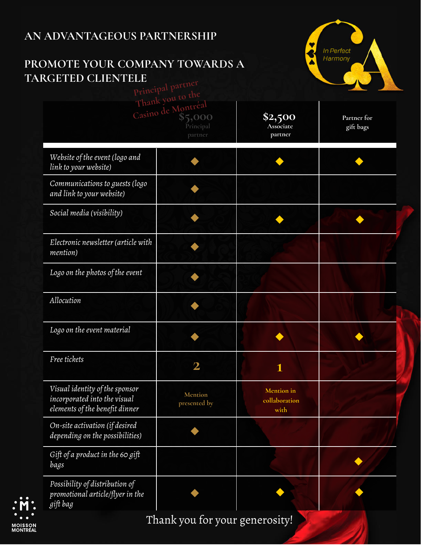